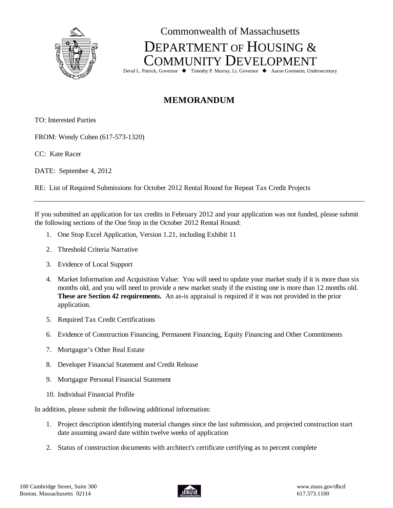

## Commonwealth of Massachusetts DEPARTMENT OF HOUSING & COMMUNITY DEVELOPMENT

Deval L. Patrick, Governor ♦ Timothy P. Murray, Lt. Governor ♦ Aaron Gornstein, Undersecretary

## **MEMORANDUM**

TO: Interested Parties

FROM: Wendy Cohen (617-573-1320)

CC: Kate Racer

DATE: September 4, 2012

RE: List of Required Submissions for October 2012 Rental Round for Repeat Tax Credit Projects

If you submitted an application for tax credits in February 2012 and your application was not funded, please submit the following sections of the One Stop in the October 2012 Rental Round:

- 1. One Stop Excel Application, Version 1.21, including Exhibit 11
- 2. Threshold Criteria Narrative
- 3. Evidence of Local Support
- 4. Market Information and Acquisition Value: You will need to update your market study if it is more than six months old, and you will need to provide a new market study if the existing one is more than 12 months old. **These are Section 42 requirements.** An as-is appraisal is required if it was not provided in the prior application.
- 5. Required Tax Credit Certifications
- 6. Evidence of Construction Financing, Permanent Financing, Equity Financing and Other Commitments
- 7. Mortgagor's Other Real Estate
- 8. Developer Financial Statement and Credit Release
- 9. Mortgagor Personal Financial Statement
- 10. Individual Financial Profile

In addition, please submit the following additional information:

- 1. Project description identifying material changes since the last submission, and projected construction start date assuming award date within twelve weeks of application
- 2. Status of construction documents with architect's certificate certifying as to percent complete